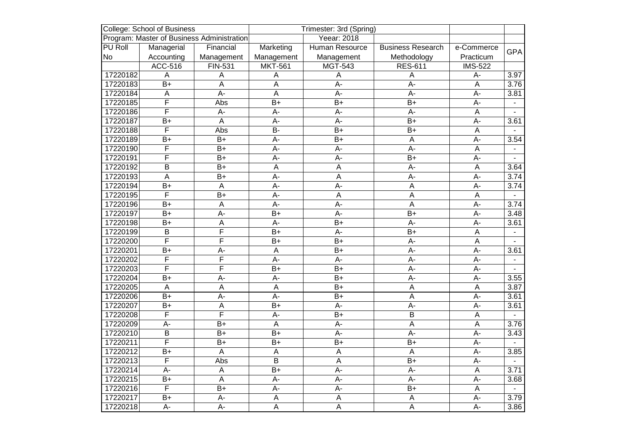| <b>College: School of Business</b>         |                         |                | Trimester: 3rd (Spring) |                  |                          |                         |                   |
|--------------------------------------------|-------------------------|----------------|-------------------------|------------------|--------------------------|-------------------------|-------------------|
| Program: Master of Business Administration |                         |                |                         | Yeear: 2018      |                          |                         |                   |
| PU Roll                                    | Managerial              | Financial      | Marketing               | Human Resource   | <b>Business Research</b> | e-Commerce              | <b>GPA</b>        |
| No                                         | Accounting              | Management     | Management              | Management       | Methodology              | Practicum               |                   |
|                                            | ACC-516                 | FIN-531        | <b>MKT-561</b>          | <b>MGT-543</b>   | <b>RES-611</b>           | <b>IMS-522</b>          |                   |
| 17220182                                   | Α                       | A              | A                       | A                | A                        | A-                      | 3.97              |
| 17220183                                   | $\overline{B+}$         | $\overline{A}$ | $\overline{A}$          | $A -$            | $A -$                    | A                       | 3.76              |
| 17220184                                   | A                       | A-             | $\overline{A}$          | A-               | A-                       | A-                      | 3.81              |
| 17220185                                   | $\overline{\mathsf{F}}$ | Abs            | $B+$                    | $B+$             | $B+$                     | A-                      |                   |
| 17220186                                   | $\overline{\mathsf{F}}$ | A-             | A-                      | A-               | $A -$                    | A                       |                   |
| 17220187                                   | $B+$                    | $\overline{A}$ | $\overline{A}$ -        | $\overline{A}$ - | $B+$                     | $A -$                   | 3.61              |
| 17220188                                   | F                       | Abs            | $B -$                   | $B+$             | $B+$                     | $\overline{A}$          |                   |
| 17220189                                   | $B+$                    | $B+$           | A-                      | $B+$             | A                        | A-                      | 3.54              |
| 17220190                                   | F                       | $B+$           | $A -$                   | $A -$            | $A -$                    | $\overline{\mathsf{A}}$ |                   |
| 17220191                                   | $\overline{\mathsf{F}}$ | $B+$           | A-                      | A-               | $B+$                     | $A -$                   |                   |
| 17220192                                   | $\overline{B}$          | $B+$           | $\overline{A}$          | $\overline{A}$   | $A -$                    | Α                       | 3.64              |
| 17220193                                   | A                       | $B+$           | A-                      | A                | $A -$                    | $A -$                   | 3.74              |
| 17220194                                   | $B+$                    | A              | A-                      | A-               | A                        | A-                      | 3.74              |
| 17220195                                   | $\overline{\mathsf{F}}$ | $B+$           | $A -$                   | $\overline{A}$   | A                        | A                       |                   |
| 17220196                                   | $B+$                    | $\overline{A}$ | $A -$                   | $A -$            | A                        | $A -$                   | 3.74              |
| 17220197                                   | $B+$                    | A-             | $B+$                    | A-               | $B+$                     | $A -$                   | 3.48              |
| 17220198                                   | $B+$                    | A              | A-                      | $B+$             | A-                       | $A -$                   | 3.61              |
| 17220199                                   | $\overline{B}$          | F              | $B+$                    | A-               | $B+$                     | $\mathsf A$             | $\mathbf{r}$      |
| 17220200                                   | $\overline{\mathsf{F}}$ | F              | $B+$                    | $B+$             | $A -$                    | $\overline{A}$          |                   |
| 17220201                                   | $B+$                    | $A -$          | $\overline{A}$          | $B+$             | $A -$                    | $A -$                   | 3.61              |
| 17220202                                   | F                       | F              | A-                      | A-               | A-                       | A-                      |                   |
| 17220203                                   | F                       | $\overline{F}$ | $B+$                    | $B+$             | $A -$                    | A-                      |                   |
| 17220204                                   | $B+$                    | $\overline{A}$ | A-                      | $B+$             | $A -$                    | $A -$                   | 3.55              |
| 17220205                                   | A                       | A              | $\overline{A}$          | $B+$             | A                        | A                       | 3.87              |
| 17220206                                   | $B+$                    | A-             | A-                      | $B+$             | A                        | $A -$                   | 3.61              |
| 17220207                                   | $B+$                    | $\overline{A}$ | $B+$                    | A-               | $A -$                    | $A -$                   | 3.61              |
| 17220208                                   | F                       | F              | A-                      | $B+$             | $\overline{B}$           | $\mathsf A$             |                   |
| 17220209                                   | A-                      | $B+$           | $\overline{A}$          | $A -$            | A                        | $\overline{A}$          | 3.76              |
| 17220210                                   | B                       | $B+$           | $B+$                    | A-               | $A -$                    | $A -$                   | 3.43              |
| 17220211                                   | F                       | B+             | $\overline{B+}$         | $\overline{B+}$  | $B+$                     | A-                      |                   |
| 17220212                                   | $B+$                    | $\overline{A}$ | $\overline{A}$          | $\overline{A}$   | $\overline{A}$           | $\overline{A}$          | $\overline{3.85}$ |
| 17220213                                   | $\overline{\mathsf{F}}$ | Abs            | $\overline{\mathsf{B}}$ | $\overline{A}$   | $B+$                     | $A -$                   |                   |
| 17220214                                   | $\overline{A}$ -        | $\overline{A}$ | $\overline{B+}$         | $\overline{A}$ - | $\overline{A}$ -         | $\overline{A}$          | 3.71              |
| 17220215                                   | $B+$                    | A              | A-                      | A-               | $A -$                    | $A -$                   | 3.68              |
| 17220216                                   | F                       | $B+$           | $\overline{A}$          | $\overline{A}$   | $\overline{B+}$          | A                       |                   |
| 17220217                                   | $\overline{B+}$         | A-             | $\overline{A}$          | $\overline{A}$   | A                        | $A -$                   | 3.79              |
| 17220218                                   | A-                      | A-             | $\mathsf A$             | $\overline{A}$   | A                        | A-                      | 3.86              |